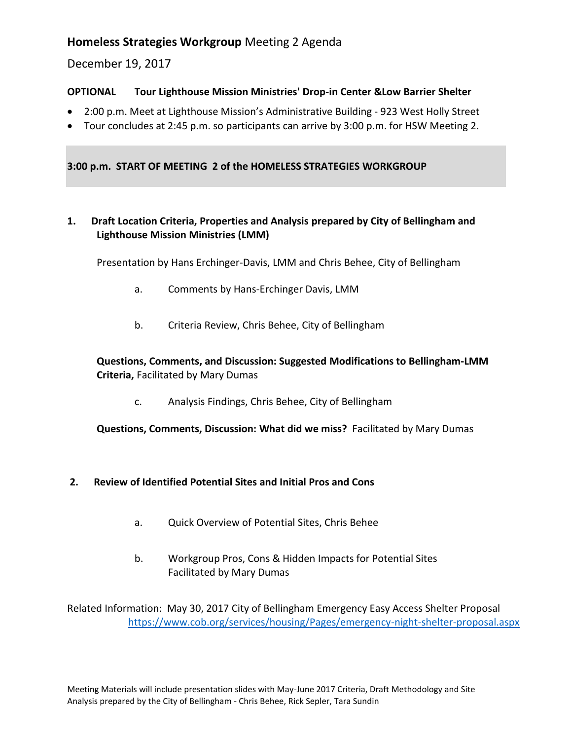# **Homeless Strategies Workgroup** Meeting 2 Agenda

December 19, 2017

#### **OPTIONAL Tour Lighthouse Mission Ministries' Drop-in Center &Low Barrier Shelter**

- 2:00 p.m. Meet at Lighthouse Mission's Administrative Building 923 West Holly Street
- Tour concludes at 2:45 p.m. so participants can arrive by 3:00 p.m. for HSW Meeting 2.

**3:00 p.m. START OF MEETING 2 of the HOMELESS STRATEGIES WORKGROUP** 

**1. Draft Location Criteria, Properties and Analysis prepared by City of Bellingham and Lighthouse Mission Ministries (LMM)**

Presentation by Hans Erchinger-Davis, LMM and Chris Behee, City of Bellingham

- a. Comments by Hans-Erchinger Davis, LMM
- b. Criteria Review, Chris Behee, City of Bellingham

#### **Questions, Comments, and Discussion: Suggested Modifications to Bellingham-LMM Criteria,** Facilitated by Mary Dumas

c. Analysis Findings, Chris Behee, City of Bellingham

**Questions, Comments, Discussion: What did we miss?** Facilitated by Mary Dumas

#### **2. Review of Identified Potential Sites and Initial Pros and Cons**

- a. Quick Overview of Potential Sites, Chris Behee
- b. Workgroup Pros, Cons & Hidden Impacts for Potential Sites Facilitated by Mary Dumas

Related Information: May 30, 2017 City of Bellingham Emergency Easy Access Shelter Proposal <https://www.cob.org/services/housing/Pages/emergency-night-shelter-proposal.aspx>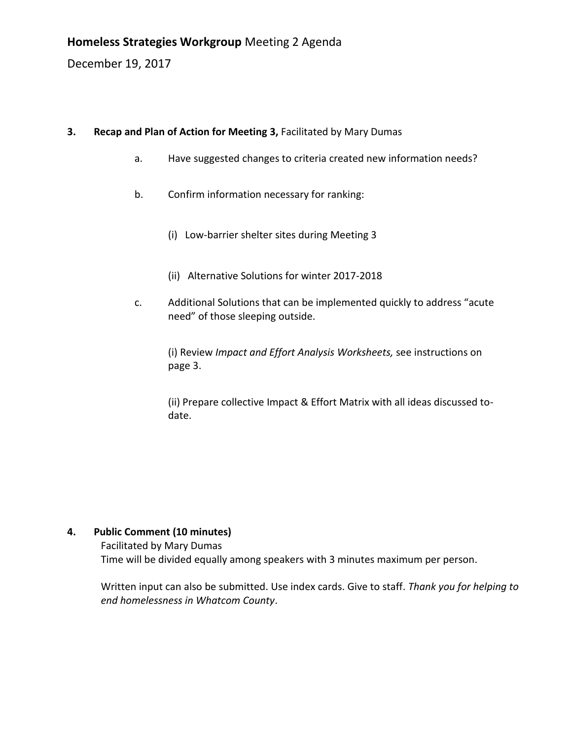December 19, 2017

### **3. Recap and Plan of Action for Meeting 3, Facilitated by Mary Dumas**

- a. Have suggested changes to criteria created new information needs?
- b. Confirm information necessary for ranking:
	- (i) Low-barrier shelter sites during Meeting 3
	- (ii) Alternative Solutions for winter 2017-2018
- c. Additional Solutions that can be implemented quickly to address "acute need" of those sleeping outside.

(i) Review *Impact and Effort Analysis Worksheets,* see instructions on page 3.

(ii) Prepare collective Impact & Effort Matrix with all ideas discussed todate.

### **4. Public Comment (10 minutes)**

Facilitated by Mary Dumas Time will be divided equally among speakers with 3 minutes maximum per person.

Written input can also be submitted. Use index cards. Give to staff. *Thank you for helping to end homelessness in Whatcom County*.